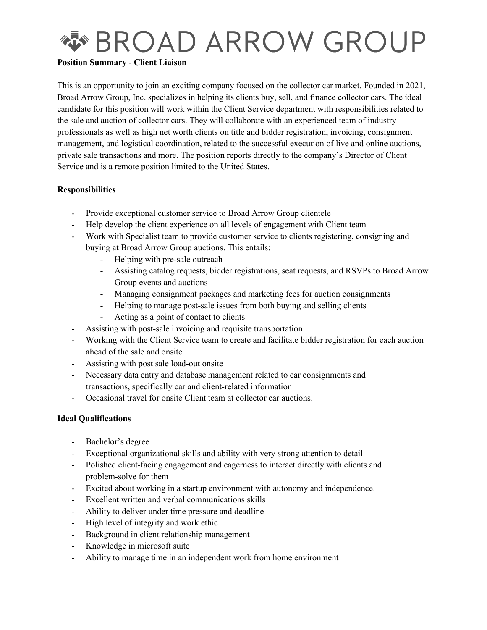

### **Position Summary - Client Liaison**

This is an opportunity to join an exciting company focused on the collector car market. Founded in 2021, Broad Arrow Group, Inc. specializes in helping its clients buy, sell, and finance collector cars. The ideal candidate for this position will work within the Client Service department with responsibilities related to the sale and auction of collector cars. They will collaborate with an experienced team of industry professionals as well as high net worth clients on title and bidder registration, invoicing, consignment management, and logistical coordination, related to the successful execution of live and online auctions, private sale transactions and more. The position reports directly to the company's Director of Client Service and is a remote position limited to the United States.

# **Responsibilities**

- Provide exceptional customer service to Broad Arrow Group clientele
- Help develop the client experience on all levels of engagement with Client team
- Work with Specialist team to provide customer service to clients registering, consigning and buying at Broad Arrow Group auctions. This entails:
	- Helping with pre-sale outreach
	- Assisting catalog requests, bidder registrations, seat requests, and RSVPs to Broad Arrow Group events and auctions
	- Managing consignment packages and marketing fees for auction consignments
	- Helping to manage post-sale issues from both buying and selling clients
	- Acting as a point of contact to clients
- Assisting with post-sale invoicing and requisite transportation
- Working with the Client Service team to create and facilitate bidder registration for each auction ahead of the sale and onsite
- Assisting with post sale load-out onsite
- Necessary data entry and database management related to car consignments and transactions, specifically car and client-related information
- Occasional travel for onsite Client team at collector car auctions.

### **Ideal Qualifications**

- Bachelor's degree
- Exceptional organizational skills and ability with very strong attention to detail
- Polished client-facing engagement and eagerness to interact directly with clients and problem-solve for them
- Excited about working in a startup environment with autonomy and independence.
- Excellent written and verbal communications skills
- Ability to deliver under time pressure and deadline
- High level of integrity and work ethic
- Background in client relationship management
- Knowledge in microsoft suite
- Ability to manage time in an independent work from home environment